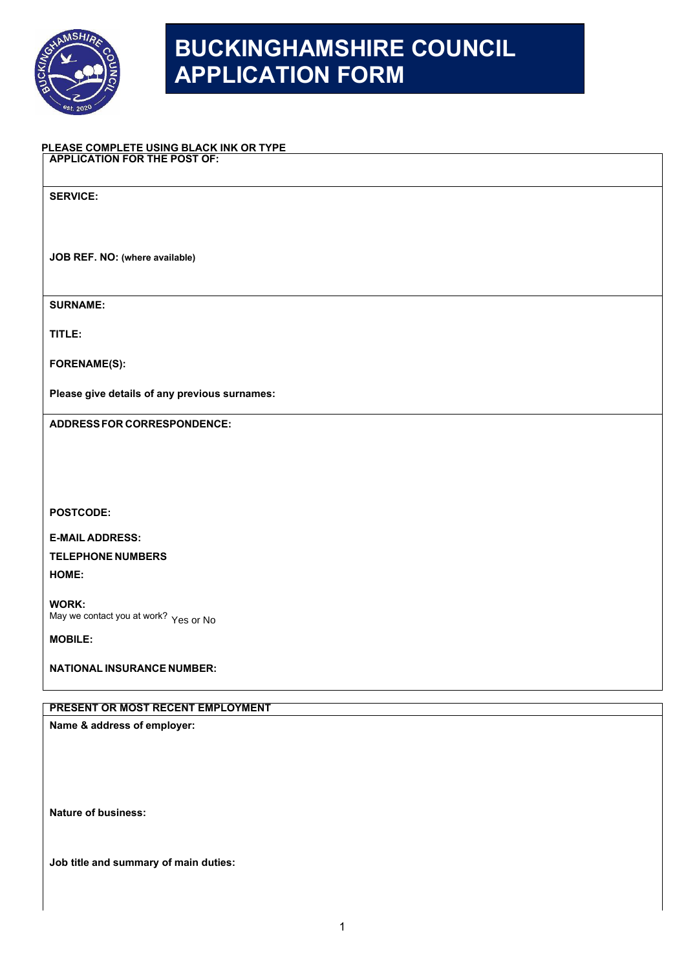

## **BUCKINGHAMSHIRE COUNCIL APPLICATION FORM**

## **PLEASE COMPLETE USING BLACK INK OR TYPE APPLICATION FOR THE POST OF:**

**SERVICE:** 

**JOB REF. NO: (where available)**

**SURNAME:**

**TITLE:**

**FORENAME(S):** 

**Please give details of any previous surnames:**

**ADDRESSFOR CORRESPONDENCE:**

**POSTCODE:** 

**E-MAIL ADDRESS: TELEPHONE NUMBERS HOME:**

**WORK:**  May we contact you at work? Yes or No

**MOBILE:** 

**NATIONAL INSURANCE NUMBER:** 

## **PRESENT OR MOST RECENT EMPLOYMENT**

**Name & address of employer:**

**Nature of business:**

**Job title and summary of main duties:**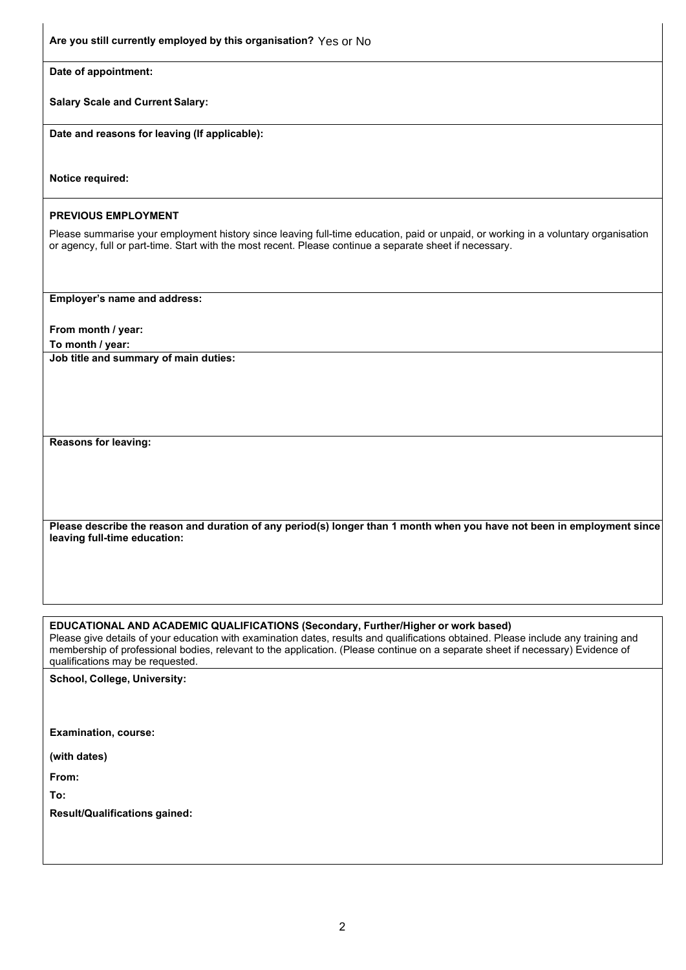| Are you still currently employed by this organisation? Yes or No                                                                                                                                                                                                                                                                                                                              |
|-----------------------------------------------------------------------------------------------------------------------------------------------------------------------------------------------------------------------------------------------------------------------------------------------------------------------------------------------------------------------------------------------|
| Date of appointment:                                                                                                                                                                                                                                                                                                                                                                          |
| <b>Salary Scale and Current Salary:</b>                                                                                                                                                                                                                                                                                                                                                       |
| Date and reasons for leaving (If applicable):                                                                                                                                                                                                                                                                                                                                                 |
| Notice required:                                                                                                                                                                                                                                                                                                                                                                              |
| <b>PREVIOUS EMPLOYMENT</b>                                                                                                                                                                                                                                                                                                                                                                    |
| Please summarise your employment history since leaving full-time education, paid or unpaid, or working in a voluntary organisation<br>or agency, full or part-time. Start with the most recent. Please continue a separate sheet if necessary.                                                                                                                                                |
| Employer's name and address:                                                                                                                                                                                                                                                                                                                                                                  |
| From month / year:                                                                                                                                                                                                                                                                                                                                                                            |
| To month / year:<br>Job title and summary of main duties:                                                                                                                                                                                                                                                                                                                                     |
|                                                                                                                                                                                                                                                                                                                                                                                               |
| <b>Reasons for leaving:</b>                                                                                                                                                                                                                                                                                                                                                                   |
| Please describe the reason and duration of any period(s) longer than 1 month when you have not been in employment since<br>leaving full-time education:                                                                                                                                                                                                                                       |
|                                                                                                                                                                                                                                                                                                                                                                                               |
| EDUCATIONAL AND ACADEMIC QUALIFICATIONS (Secondary, Further/Higher or work based)<br>Please give details of your education with examination dates, results and qualifications obtained. Please include any training and<br>membership of professional bodies, relevant to the application. (Please continue on a separate sheet if necessary) Evidence of<br>qualifications may be requested. |
| School, College, University:                                                                                                                                                                                                                                                                                                                                                                  |
|                                                                                                                                                                                                                                                                                                                                                                                               |
| <b>Examination, course:</b>                                                                                                                                                                                                                                                                                                                                                                   |
| (with dates)                                                                                                                                                                                                                                                                                                                                                                                  |
| From:                                                                                                                                                                                                                                                                                                                                                                                         |

**To:** 

**Result/Qualifications gained:**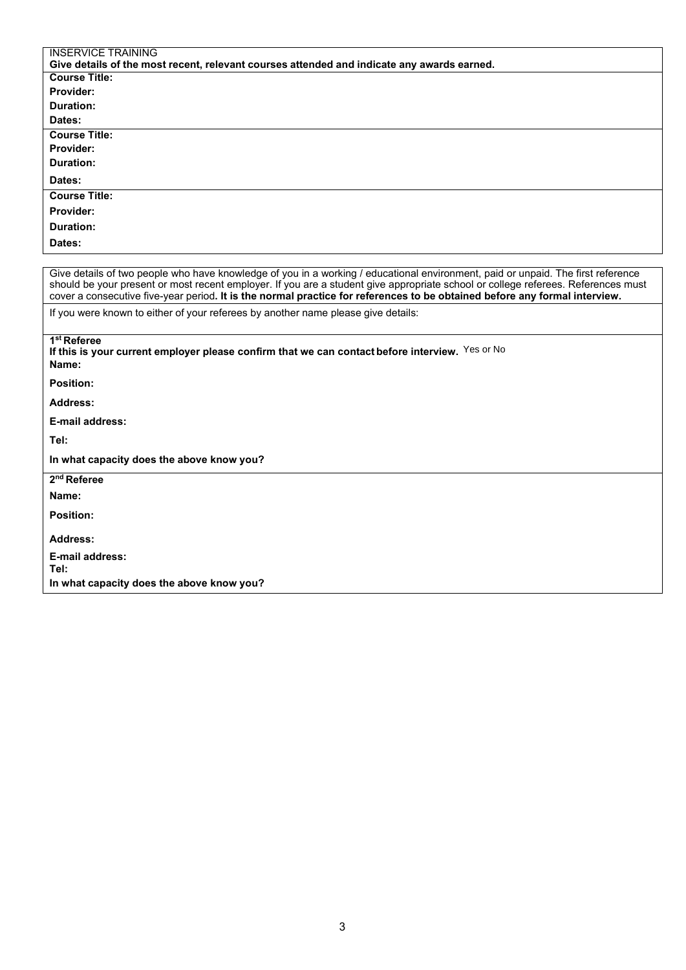| <b>INSERVICE TRAINING</b>                                                                                                                                                                                                                                                                                                                                                                           |  |  |
|-----------------------------------------------------------------------------------------------------------------------------------------------------------------------------------------------------------------------------------------------------------------------------------------------------------------------------------------------------------------------------------------------------|--|--|
| Give details of the most recent, relevant courses attended and indicate any awards earned.                                                                                                                                                                                                                                                                                                          |  |  |
| <b>Course Title:</b>                                                                                                                                                                                                                                                                                                                                                                                |  |  |
| Provider:                                                                                                                                                                                                                                                                                                                                                                                           |  |  |
| Duration:                                                                                                                                                                                                                                                                                                                                                                                           |  |  |
| Dates:                                                                                                                                                                                                                                                                                                                                                                                              |  |  |
| <b>Course Title:</b>                                                                                                                                                                                                                                                                                                                                                                                |  |  |
| <b>Provider:</b>                                                                                                                                                                                                                                                                                                                                                                                    |  |  |
| <b>Duration:</b>                                                                                                                                                                                                                                                                                                                                                                                    |  |  |
| Dates:                                                                                                                                                                                                                                                                                                                                                                                              |  |  |
| <b>Course Title:</b>                                                                                                                                                                                                                                                                                                                                                                                |  |  |
| <b>Provider:</b>                                                                                                                                                                                                                                                                                                                                                                                    |  |  |
| Duration:                                                                                                                                                                                                                                                                                                                                                                                           |  |  |
| Dates:                                                                                                                                                                                                                                                                                                                                                                                              |  |  |
|                                                                                                                                                                                                                                                                                                                                                                                                     |  |  |
| Give details of two people who have knowledge of you in a working / educational environment, paid or unpaid. The first reference<br>should be your present or most recent employer. If you are a student give appropriate school or college referees. References must<br>cover a consecutive five-year period. It is the normal practice for references to be obtained before any formal interview. |  |  |
| If you were known to either of your referees by another name please give details:                                                                                                                                                                                                                                                                                                                   |  |  |
| 1 <sup>st</sup> Referee<br>If this is your current employer please confirm that we can contact before interview. Yes or No<br>Name:                                                                                                                                                                                                                                                                 |  |  |
| <b>Position:</b>                                                                                                                                                                                                                                                                                                                                                                                    |  |  |
| <b>Address:</b>                                                                                                                                                                                                                                                                                                                                                                                     |  |  |
| <b>E-mail address:</b>                                                                                                                                                                                                                                                                                                                                                                              |  |  |
| Tel:                                                                                                                                                                                                                                                                                                                                                                                                |  |  |
| In what capacity does the above know you?                                                                                                                                                                                                                                                                                                                                                           |  |  |
| 2 <sup>nd</sup> Referee                                                                                                                                                                                                                                                                                                                                                                             |  |  |
| Name:                                                                                                                                                                                                                                                                                                                                                                                               |  |  |
| <b>Position:</b>                                                                                                                                                                                                                                                                                                                                                                                    |  |  |
| Address:                                                                                                                                                                                                                                                                                                                                                                                            |  |  |
| <b>E-mail address:</b>                                                                                                                                                                                                                                                                                                                                                                              |  |  |
| Tel:                                                                                                                                                                                                                                                                                                                                                                                                |  |  |
| In what capacity does the above know you?                                                                                                                                                                                                                                                                                                                                                           |  |  |
|                                                                                                                                                                                                                                                                                                                                                                                                     |  |  |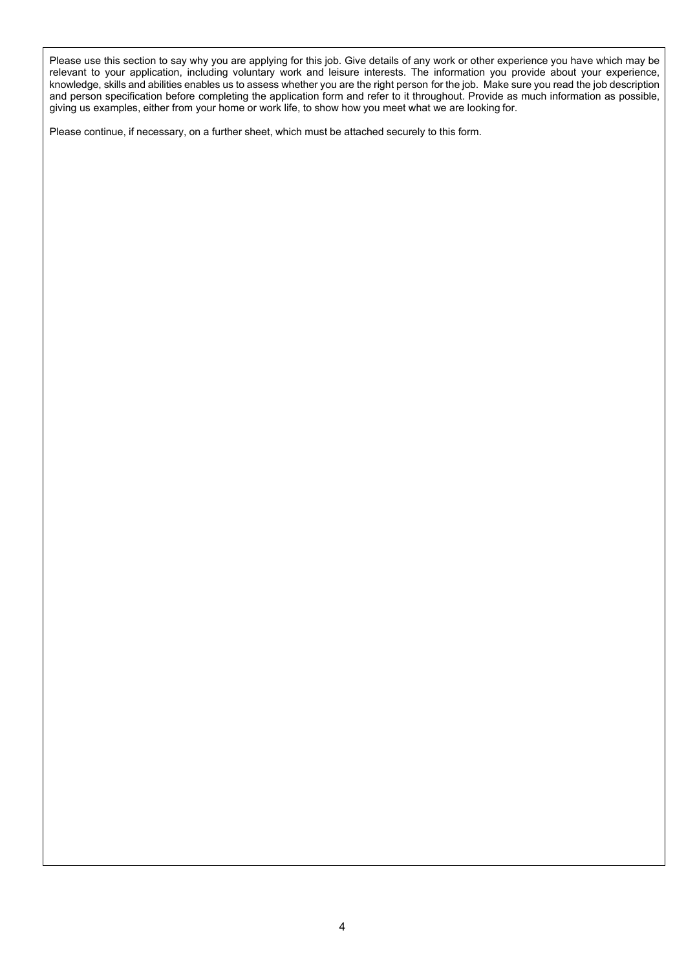Please use this section to say why you are applying for this job. Give details of any work or other experience you have which may be relevant to your application, including voluntary work and leisure interests. The information you provide about your experience, knowledge, skills and abilities enables us to assess whether you are the right person for the job. Make sure you read the job description and person specification before completing the application form and refer to it throughout. Provide as much information as possible, giving us examples, either from your home or work life, to show how you meet what we are looking for.

Please continue, if necessary, on a further sheet, which must be attached securely to this form.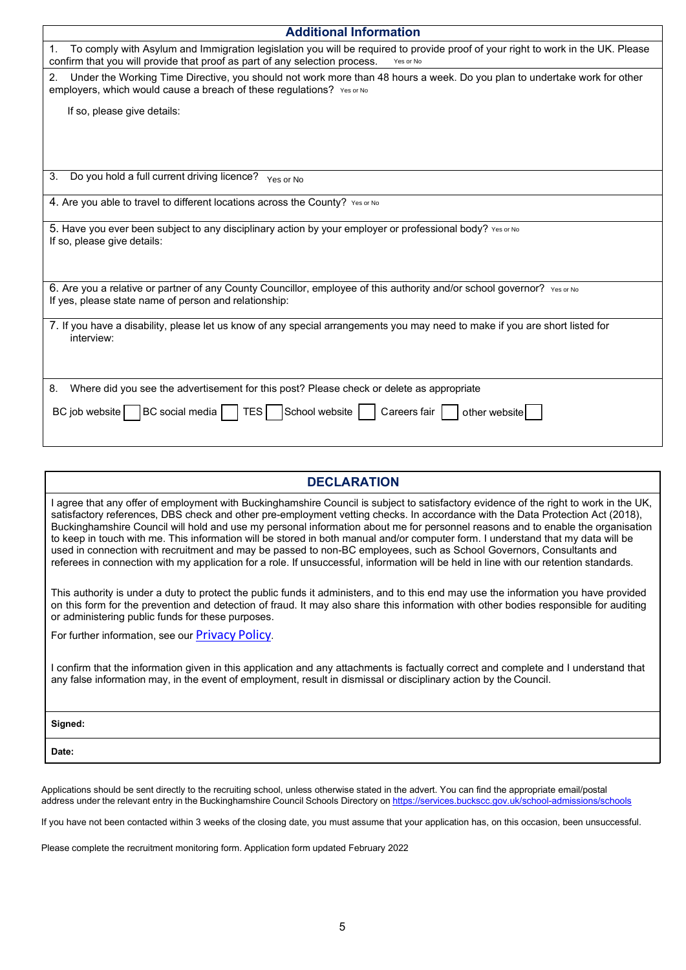| <b>Additional Information</b>                                                                                                                                                                                                    |  |  |  |  |
|----------------------------------------------------------------------------------------------------------------------------------------------------------------------------------------------------------------------------------|--|--|--|--|
| To comply with Asylum and Immigration legislation you will be required to provide proof of your right to work in the UK. Please<br>1.<br>confirm that you will provide that proof as part of any selection process.<br>Yes or No |  |  |  |  |
| Under the Working Time Directive, you should not work more than 48 hours a week. Do you plan to undertake work for other<br>2.<br>employers, which would cause a breach of these regulations? Yes or No                          |  |  |  |  |
| If so, please give details:                                                                                                                                                                                                      |  |  |  |  |
|                                                                                                                                                                                                                                  |  |  |  |  |
|                                                                                                                                                                                                                                  |  |  |  |  |
| Do you hold a full current driving licence? Yes or No<br>3.                                                                                                                                                                      |  |  |  |  |
| 4. Are you able to travel to different locations across the County? Yes or No                                                                                                                                                    |  |  |  |  |
| 5. Have you ever been subject to any disciplinary action by your employer or professional body? Yes or No<br>If so, please give details:                                                                                         |  |  |  |  |
|                                                                                                                                                                                                                                  |  |  |  |  |
| 6. Are you a relative or partner of any County Councillor, employee of this authority and/or school governor? Yes or No<br>If yes, please state name of person and relationship:                                                 |  |  |  |  |
| 7. If you have a disability, please let us know of any special arrangements you may need to make if you are short listed for<br>interview:                                                                                       |  |  |  |  |
| Where did you see the advertisement for this post? Please check or delete as appropriate<br>8.                                                                                                                                   |  |  |  |  |
| BC social media     TES     School website  <br>Careers fair<br>BC job website<br>other website                                                                                                                                  |  |  |  |  |
|                                                                                                                                                                                                                                  |  |  |  |  |

| <b>DECLARATION</b>                                                                                                                                                                                                                                                                                                                                                                                                                                                                                                                                                                                                                                                                                                                                                                                               |
|------------------------------------------------------------------------------------------------------------------------------------------------------------------------------------------------------------------------------------------------------------------------------------------------------------------------------------------------------------------------------------------------------------------------------------------------------------------------------------------------------------------------------------------------------------------------------------------------------------------------------------------------------------------------------------------------------------------------------------------------------------------------------------------------------------------|
| l agree that any offer of employment with Buckinghamshire Council is subject to satisfactory evidence of the right to work in the UK.<br>satisfactory references, DBS check and other pre-employment vetting checks. In accordance with the Data Protection Act (2018),<br>Buckinghamshire Council will hold and use my personal information about me for personnel reasons and to enable the organisation<br>to keep in touch with me. This information will be stored in both manual and/or computer form. I understand that my data will be<br>used in connection with recruitment and may be passed to non-BC employees, such as School Governors, Consultants and<br>referees in connection with my application for a role. If unsuccessful, information will be held in line with our retention standards. |
| This authority is under a duty to protect the public funds it administers, and to this end may use the information you have provided<br>on this form for the prevention and detection of fraud. It may also share this information with other bodies responsible for auditing<br>or administering public funds for these purposes.                                                                                                                                                                                                                                                                                                                                                                                                                                                                               |
| For further information, see our <b>Privacy Policy</b> .                                                                                                                                                                                                                                                                                                                                                                                                                                                                                                                                                                                                                                                                                                                                                         |
| I confirm that the information given in this application and any attachments is factually correct and complete and I understand that<br>any false information may, in the event of employment, result in dismissal or disciplinary action by the Council.                                                                                                                                                                                                                                                                                                                                                                                                                                                                                                                                                        |

| Signed: |  |
|---------|--|
| Date:   |  |

Applications should be sent directly to the recruiting school, unless otherwise stated in the advert. You can find the appropriate email/postal address under the relevant entry in the Buckinghamshire Council Schools Directory on <u><https://services.buckscc.gov.uk/school-admissions/schools></u>

If you have not been contacted within 3 weeks of the closing date, you must assume that your application has, on this occasion, been unsuccessful.

Please complete the recruitment monitoring form. Application form updated February 2022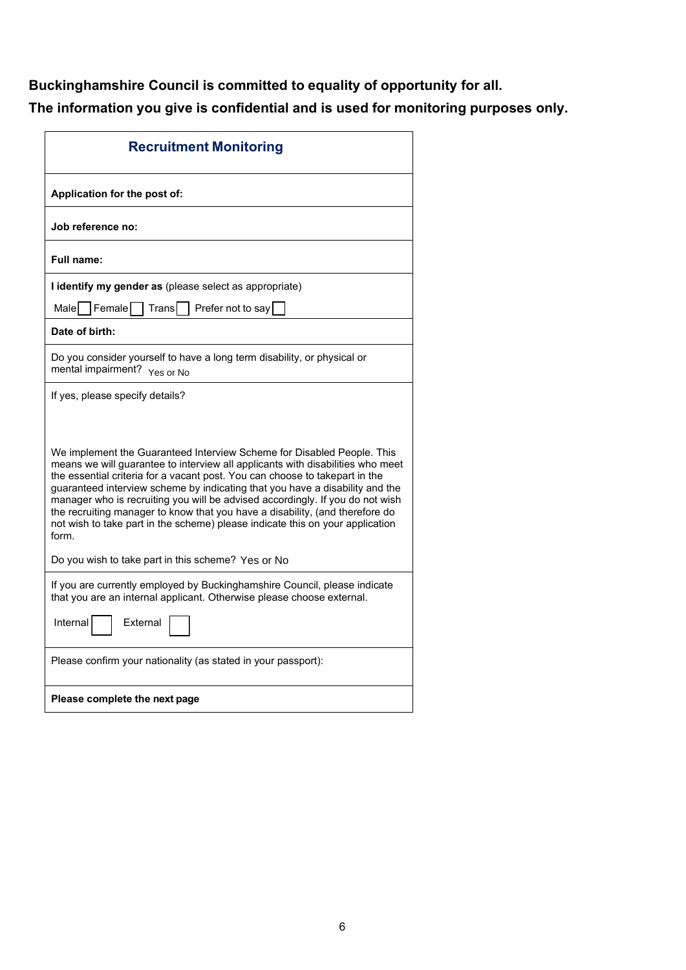## **Buckinghamshire Council is committed to equality of opportunity for all.**

**The information you give is confidential and is used for monitoring purposes only.**

| <b>Recruitment Monitoring</b>                                                                                                                                                                                                                                                                                                                                                                                                                                                                                                                                                                                                            |  |  |  |
|------------------------------------------------------------------------------------------------------------------------------------------------------------------------------------------------------------------------------------------------------------------------------------------------------------------------------------------------------------------------------------------------------------------------------------------------------------------------------------------------------------------------------------------------------------------------------------------------------------------------------------------|--|--|--|
| Application for the post of:                                                                                                                                                                                                                                                                                                                                                                                                                                                                                                                                                                                                             |  |  |  |
| Job reference no:                                                                                                                                                                                                                                                                                                                                                                                                                                                                                                                                                                                                                        |  |  |  |
| Full name:                                                                                                                                                                                                                                                                                                                                                                                                                                                                                                                                                                                                                               |  |  |  |
| I identify my gender as (please select as appropriate)                                                                                                                                                                                                                                                                                                                                                                                                                                                                                                                                                                                   |  |  |  |
| Female<br>Malel<br>Trans<br>Prefer not to say                                                                                                                                                                                                                                                                                                                                                                                                                                                                                                                                                                                            |  |  |  |
| Date of birth:                                                                                                                                                                                                                                                                                                                                                                                                                                                                                                                                                                                                                           |  |  |  |
| Do you consider yourself to have a long term disability, or physical or<br>mental impairment? Yes or No                                                                                                                                                                                                                                                                                                                                                                                                                                                                                                                                  |  |  |  |
| If yes, please specify details?                                                                                                                                                                                                                                                                                                                                                                                                                                                                                                                                                                                                          |  |  |  |
| We implement the Guaranteed Interview Scheme for Disabled People. This<br>means we will guarantee to interview all applicants with disabilities who meet<br>the essential criteria for a vacant post. You can choose to takepart in the<br>guaranteed interview scheme by indicating that you have a disability and the<br>manager who is recruiting you will be advised accordingly. If you do not wish<br>the recruiting manager to know that you have a disability, (and therefore do<br>not wish to take part in the scheme) please indicate this on your application<br>form.<br>Do you wish to take part in this scheme? Yes or No |  |  |  |
|                                                                                                                                                                                                                                                                                                                                                                                                                                                                                                                                                                                                                                          |  |  |  |
| If you are currently employed by Buckinghamshire Council, please indicate<br>that you are an internal applicant. Otherwise please choose external.<br>Internal<br>External                                                                                                                                                                                                                                                                                                                                                                                                                                                               |  |  |  |
|                                                                                                                                                                                                                                                                                                                                                                                                                                                                                                                                                                                                                                          |  |  |  |
| Please confirm your nationality (as stated in your passport):                                                                                                                                                                                                                                                                                                                                                                                                                                                                                                                                                                            |  |  |  |
| Please complete the next page                                                                                                                                                                                                                                                                                                                                                                                                                                                                                                                                                                                                            |  |  |  |